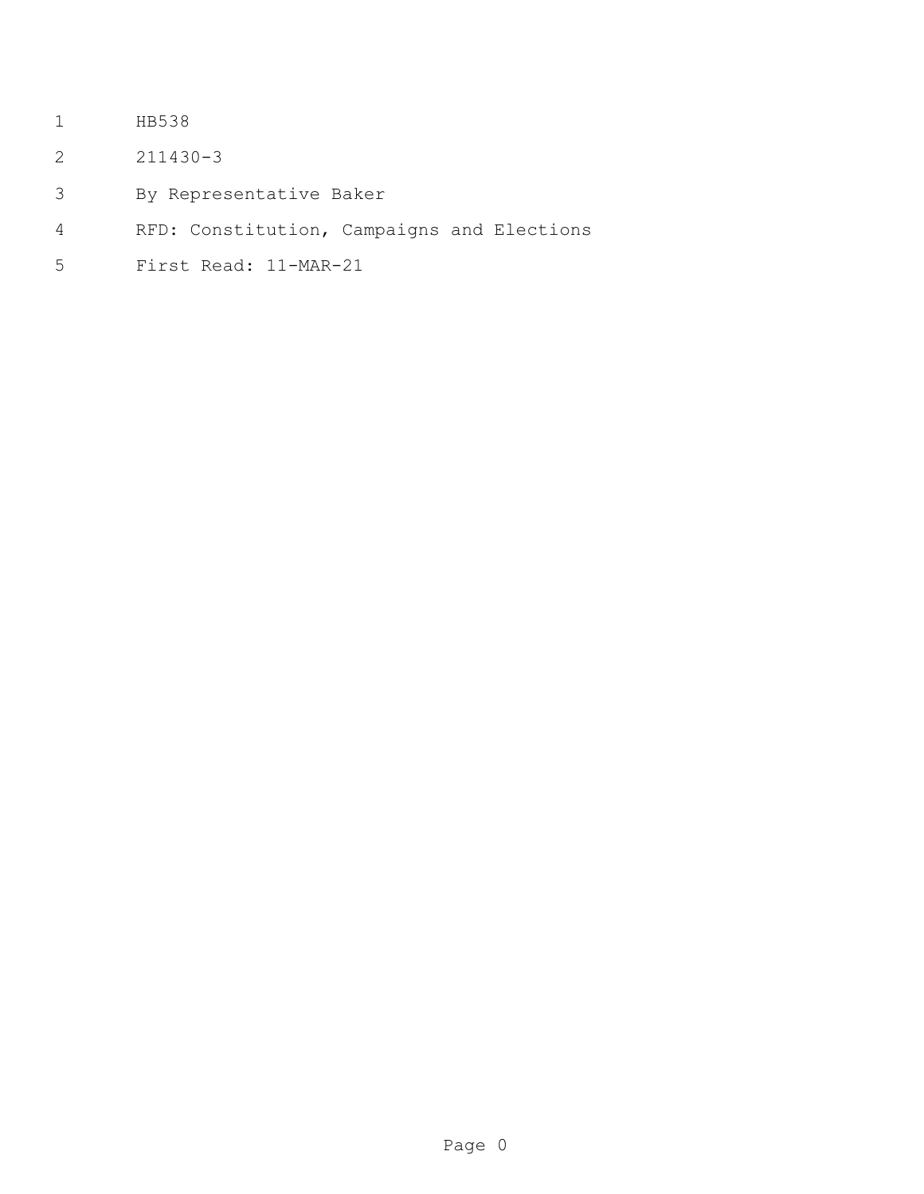- HB538
- 211430-3
- By Representative Baker
- RFD: Constitution, Campaigns and Elections
- First Read: 11-MAR-21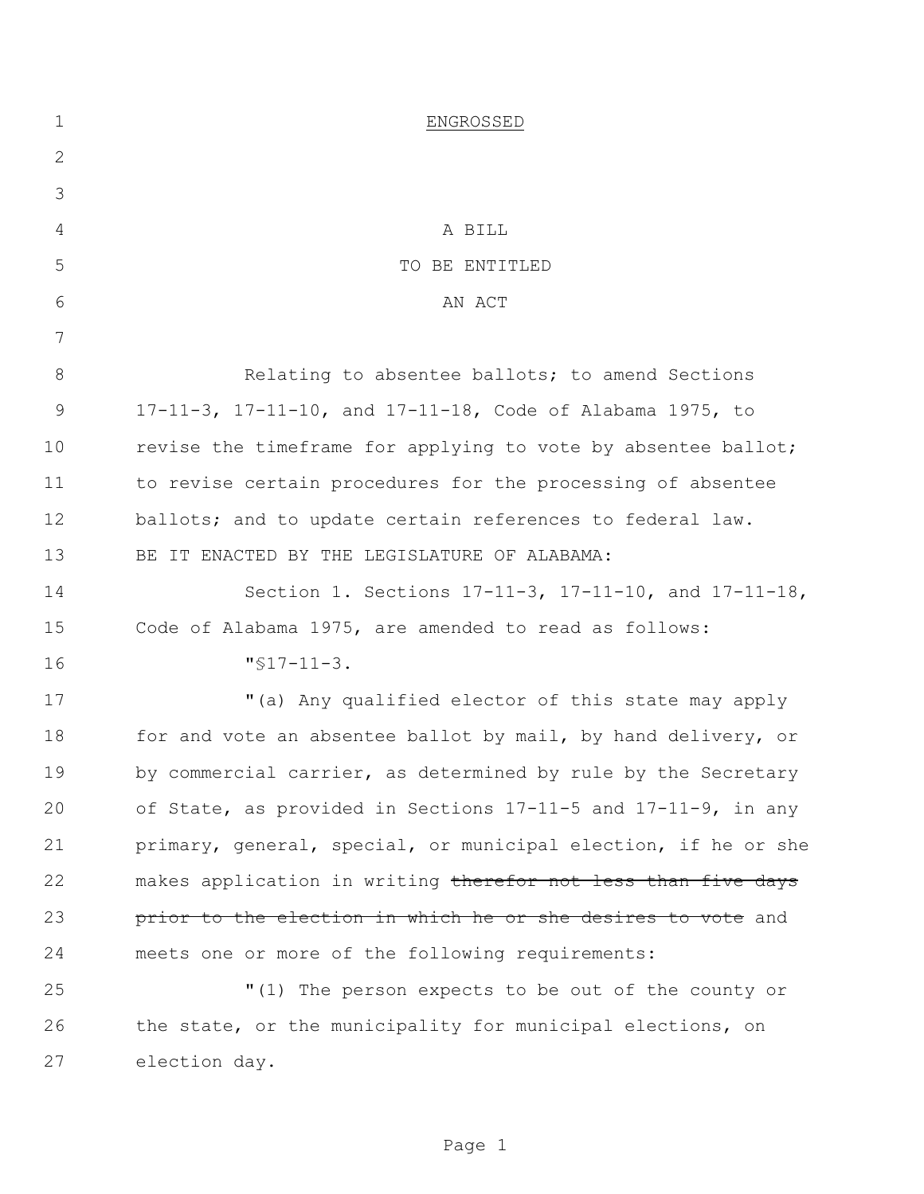| $\mathbf 1$ | ENGROSSED                                                      |
|-------------|----------------------------------------------------------------|
| 2           |                                                                |
| 3           |                                                                |
| 4           | A BILL                                                         |
| 5           | TO BE ENTITLED                                                 |
| 6           | AN ACT                                                         |
| 7           |                                                                |
| 8           | Relating to absentee ballots; to amend Sections                |
| 9           | 17-11-3, 17-11-10, and 17-11-18, Code of Alabama 1975, to      |
| 10          | revise the timeframe for applying to vote by absentee ballot;  |
| 11          | to revise certain procedures for the processing of absentee    |
| 12          | ballots; and to update certain references to federal law.      |
| 13          | BE IT ENACTED BY THE LEGISLATURE OF ALABAMA:                   |
| 14          | Section 1. Sections 17-11-3, 17-11-10, and 17-11-18,           |
| 15          | Code of Alabama 1975, are amended to read as follows:          |
| 16          | $"$ \$17-11-3.                                                 |
| 17          | "(a) Any qualified elector of this state may apply             |
| 18          | for and vote an absentee ballot by mail, by hand delivery, or  |
| 19          | by commercial carrier, as determined by rule by the Secretary  |
| 20          | of State, as provided in Sections 17-11-5 and 17-11-9, in any  |
| 21          | primary, general, special, or municipal election, if he or she |
| 22          | makes application in writing therefor not less than five days  |
| 23          | prior to the election in which he or she desires to vote and   |
| 24          | meets one or more of the following requirements:               |
| 25          | "(1) The person expects to be out of the county or             |
| 26          | the state, or the municipality for municipal elections, on     |
| 27          | election day.                                                  |
|             |                                                                |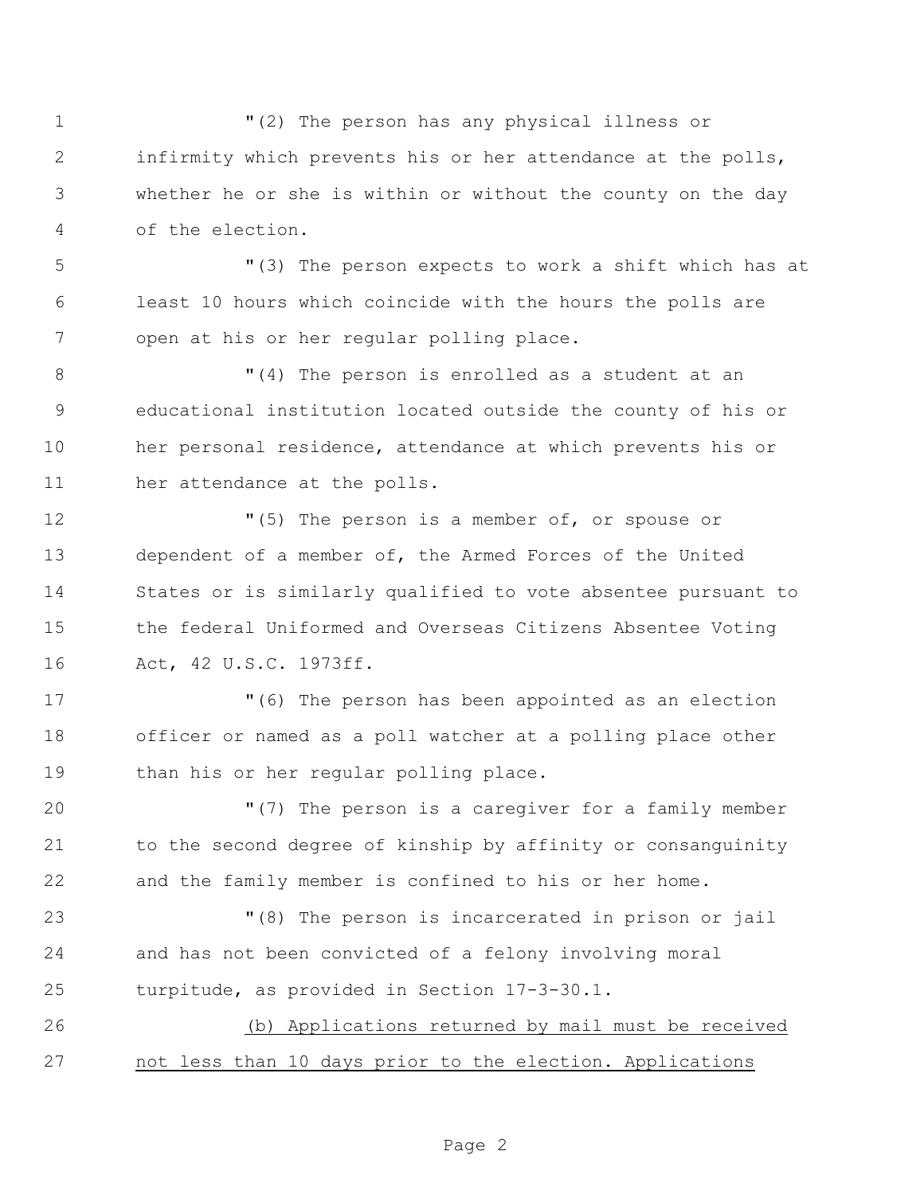"(2) The person has any physical illness or infirmity which prevents his or her attendance at the polls, whether he or she is within or without the county on the day of the election. "(3) The person expects to work a shift which has at least 10 hours which coincide with the hours the polls are open at his or her regular polling place.  $(4)$  The person is enrolled as a student at an educational institution located outside the county of his or her personal residence, attendance at which prevents his or her attendance at the polls.  $(5)$  The person is a member of, or spouse or dependent of a member of, the Armed Forces of the United States or is similarly qualified to vote absentee pursuant to the federal Uniformed and Overseas Citizens Absentee Voting Act, 42 U.S.C. 1973ff. "(6) The person has been appointed as an election officer or named as a poll watcher at a polling place other than his or her regular polling place. "(7) The person is a caregiver for a family member to the second degree of kinship by affinity or consanguinity and the family member is confined to his or her home. "(8) The person is incarcerated in prison or jail and has not been convicted of a felony involving moral turpitude, as provided in Section 17-3-30.1. (b) Applications returned by mail must be received not less than 10 days prior to the election. Applications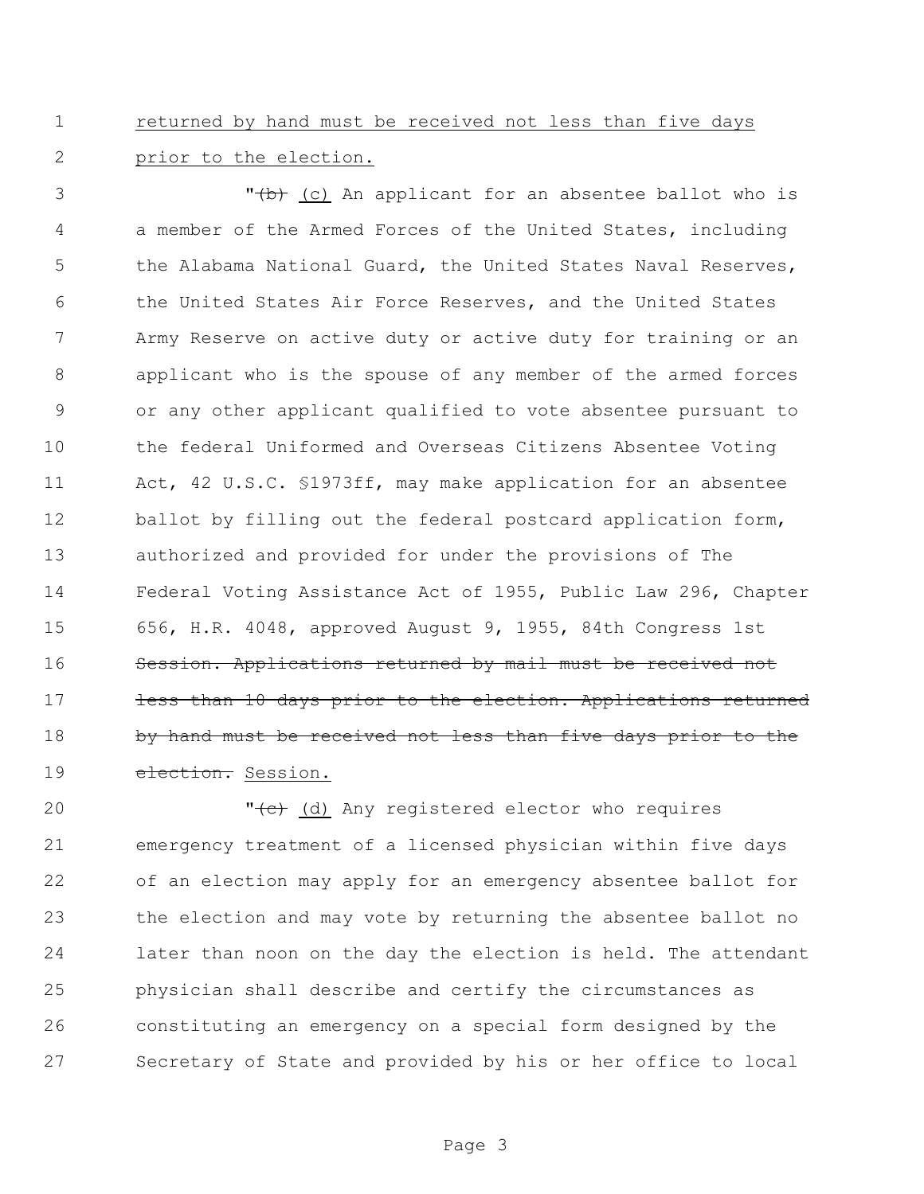returned by hand must be received not less than five days prior to the election.

3 T<del>(b)</del> (c) An applicant for an absentee ballot who is a member of the Armed Forces of the United States, including 5 the Alabama National Guard, the United States Naval Reserves, the United States Air Force Reserves, and the United States Army Reserve on active duty or active duty for training or an applicant who is the spouse of any member of the armed forces or any other applicant qualified to vote absentee pursuant to the federal Uniformed and Overseas Citizens Absentee Voting Act, 42 U.S.C. §1973ff, may make application for an absentee 12 ballot by filling out the federal postcard application form, authorized and provided for under the provisions of The Federal Voting Assistance Act of 1955, Public Law 296, Chapter 656, H.R. 4048, approved August 9, 1955, 84th Congress 1st Session. Applications returned by mail must be received not 17 less than 10 days prior to the election. Applications returned 18 by hand must be received not less than five days prior to the 19 election. Session.

20 The Collection Contract Contract Contract Contract Contract Contract Contract Contract Contract Contract Contract Contract Contract Contract Contract Contract Contract Contract Contract Contract Contract Contract Contra emergency treatment of a licensed physician within five days of an election may apply for an emergency absentee ballot for the election and may vote by returning the absentee ballot no later than noon on the day the election is held. The attendant physician shall describe and certify the circumstances as constituting an emergency on a special form designed by the Secretary of State and provided by his or her office to local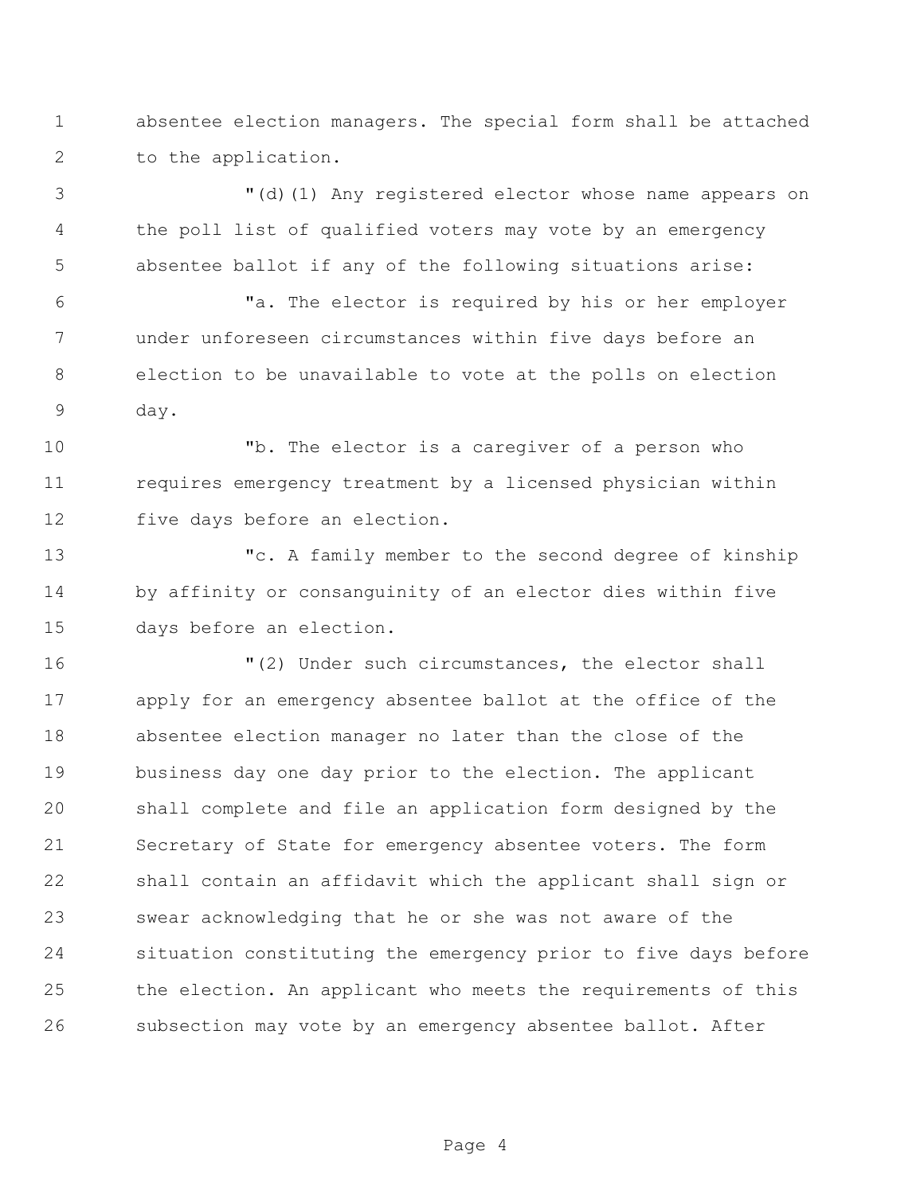absentee election managers. The special form shall be attached to the application.

 "(d)(1) Any registered elector whose name appears on the poll list of qualified voters may vote by an emergency absentee ballot if any of the following situations arise:

 "a. The elector is required by his or her employer under unforeseen circumstances within five days before an election to be unavailable to vote at the polls on election day.

 "b. The elector is a caregiver of a person who requires emergency treatment by a licensed physician within five days before an election.

 "c. A family member to the second degree of kinship by affinity or consanguinity of an elector dies within five days before an election.

 "(2) Under such circumstances, the elector shall apply for an emergency absentee ballot at the office of the absentee election manager no later than the close of the business day one day prior to the election. The applicant shall complete and file an application form designed by the Secretary of State for emergency absentee voters. The form shall contain an affidavit which the applicant shall sign or swear acknowledging that he or she was not aware of the situation constituting the emergency prior to five days before the election. An applicant who meets the requirements of this subsection may vote by an emergency absentee ballot. After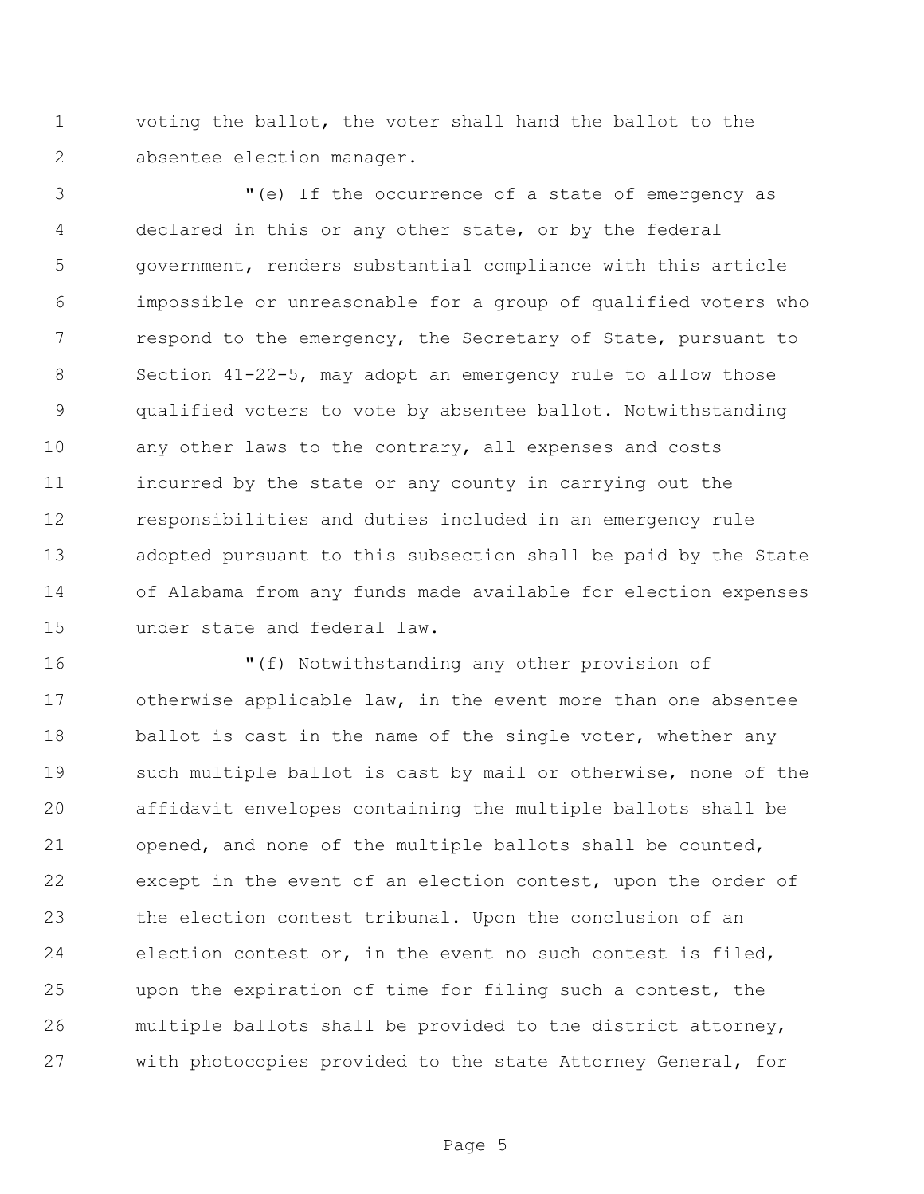voting the ballot, the voter shall hand the ballot to the absentee election manager.

 "(e) If the occurrence of a state of emergency as declared in this or any other state, or by the federal government, renders substantial compliance with this article impossible or unreasonable for a group of qualified voters who 7 respond to the emergency, the Secretary of State, pursuant to Section 41-22-5, may adopt an emergency rule to allow those qualified voters to vote by absentee ballot. Notwithstanding any other laws to the contrary, all expenses and costs incurred by the state or any county in carrying out the responsibilities and duties included in an emergency rule adopted pursuant to this subsection shall be paid by the State of Alabama from any funds made available for election expenses under state and federal law.

 "(f) Notwithstanding any other provision of otherwise applicable law, in the event more than one absentee 18 ballot is cast in the name of the single voter, whether any such multiple ballot is cast by mail or otherwise, none of the affidavit envelopes containing the multiple ballots shall be opened, and none of the multiple ballots shall be counted, except in the event of an election contest, upon the order of the election contest tribunal. Upon the conclusion of an election contest or, in the event no such contest is filed, upon the expiration of time for filing such a contest, the multiple ballots shall be provided to the district attorney, with photocopies provided to the state Attorney General, for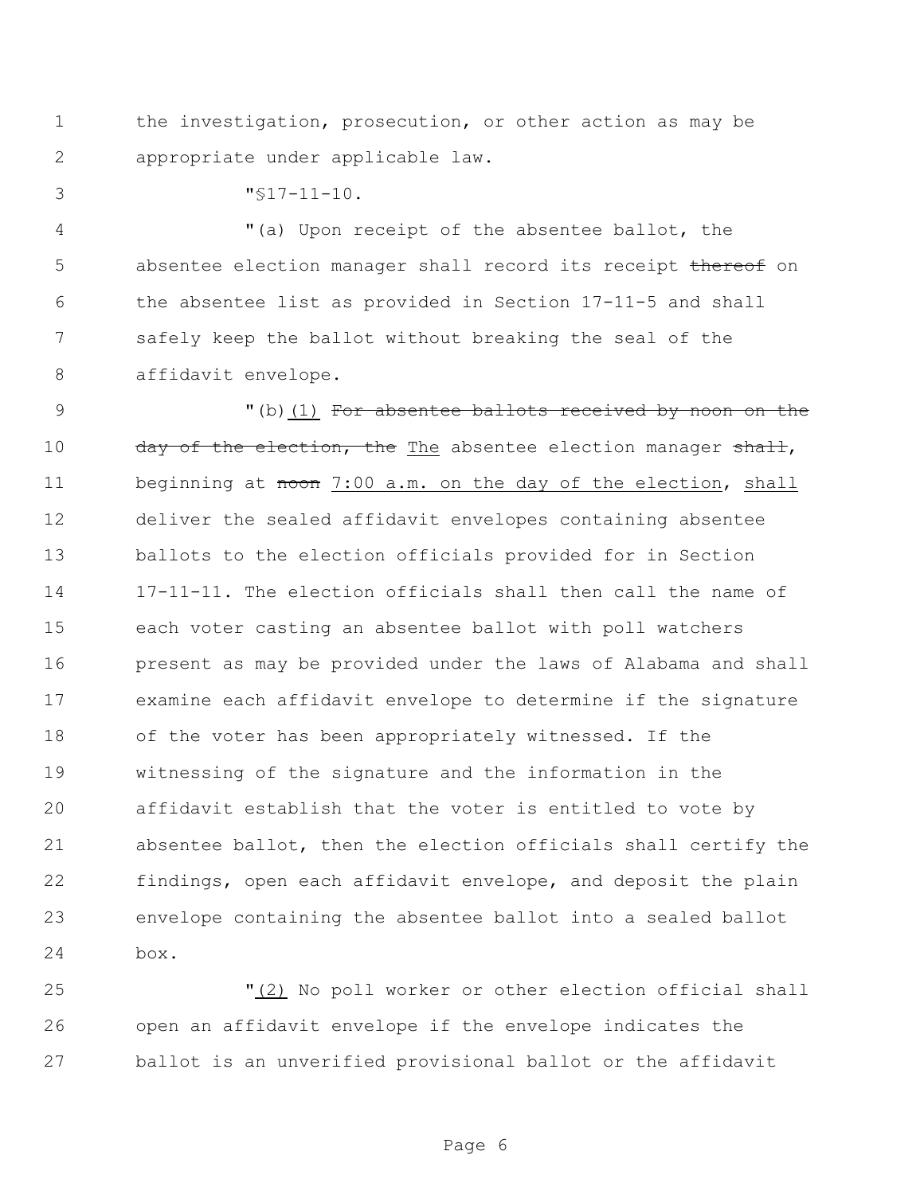the investigation, prosecution, or other action as may be appropriate under applicable law.

"§17-11-10.

 "(a) Upon receipt of the absentee ballot, the 5 absentee election manager shall record its receipt thereof on the absentee list as provided in Section 17-11-5 and shall safely keep the ballot without breaking the seal of the affidavit envelope.

9 (b)(1) For absentee ballots received by noon on the 10 day of the election, the The absentee election manager shall, 11 beginning at noon 7:00 a.m. on the day of the election, shall deliver the sealed affidavit envelopes containing absentee ballots to the election officials provided for in Section 17-11-11. The election officials shall then call the name of each voter casting an absentee ballot with poll watchers present as may be provided under the laws of Alabama and shall examine each affidavit envelope to determine if the signature of the voter has been appropriately witnessed. If the witnessing of the signature and the information in the affidavit establish that the voter is entitled to vote by absentee ballot, then the election officials shall certify the findings, open each affidavit envelope, and deposit the plain envelope containing the absentee ballot into a sealed ballot box.

 "(2) No poll worker or other election official shall open an affidavit envelope if the envelope indicates the ballot is an unverified provisional ballot or the affidavit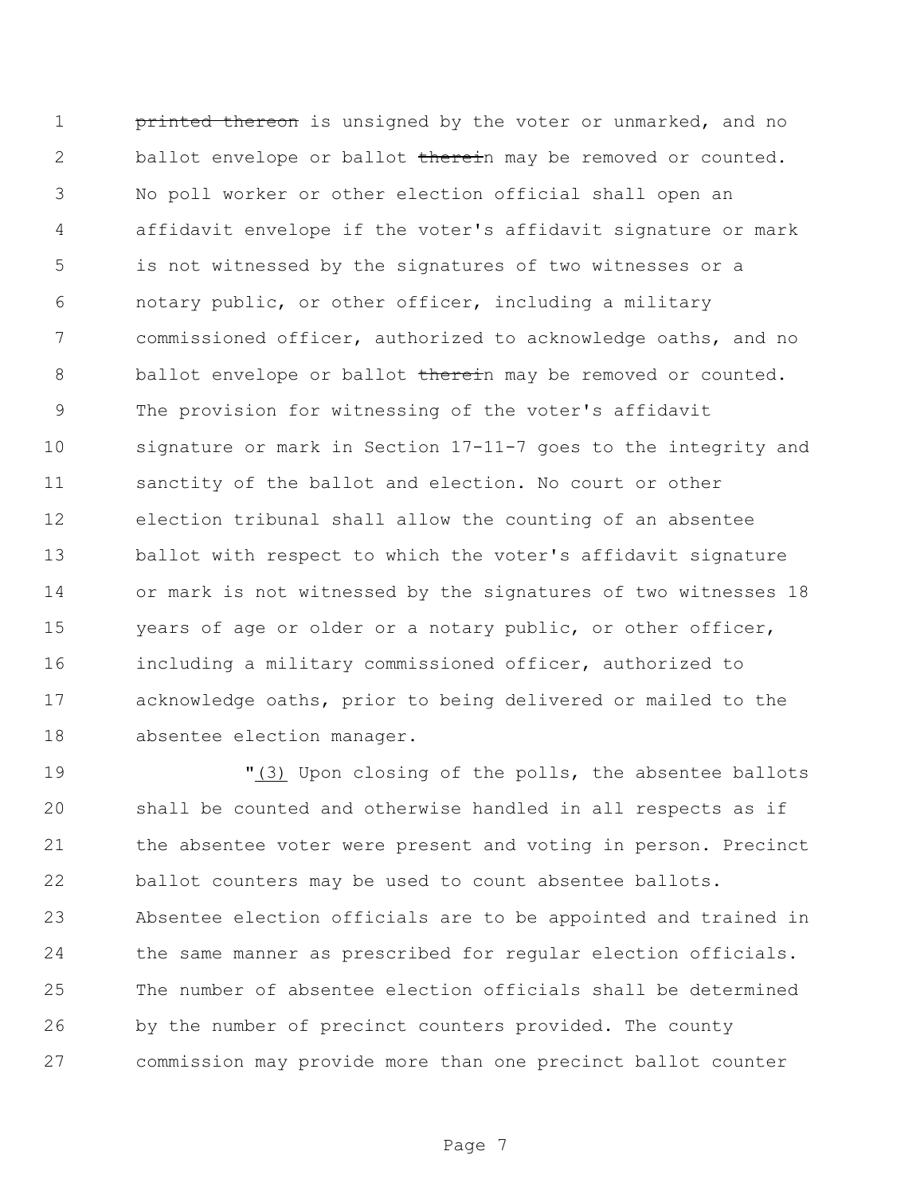1 printed thereon is unsigned by the voter or unmarked, and no 2 ballot envelope or ballot therein may be removed or counted. No poll worker or other election official shall open an affidavit envelope if the voter's affidavit signature or mark is not witnessed by the signatures of two witnesses or a notary public, or other officer, including a military commissioned officer, authorized to acknowledge oaths, and no 8 ballot envelope or ballot therein may be removed or counted. The provision for witnessing of the voter's affidavit signature or mark in Section 17-11-7 goes to the integrity and sanctity of the ballot and election. No court or other election tribunal shall allow the counting of an absentee ballot with respect to which the voter's affidavit signature or mark is not witnessed by the signatures of two witnesses 18 years of age or older or a notary public, or other officer, including a military commissioned officer, authorized to acknowledge oaths, prior to being delivered or mailed to the absentee election manager.

 "(3) Upon closing of the polls, the absentee ballots shall be counted and otherwise handled in all respects as if the absentee voter were present and voting in person. Precinct ballot counters may be used to count absentee ballots. Absentee election officials are to be appointed and trained in the same manner as prescribed for regular election officials. The number of absentee election officials shall be determined by the number of precinct counters provided. The county commission may provide more than one precinct ballot counter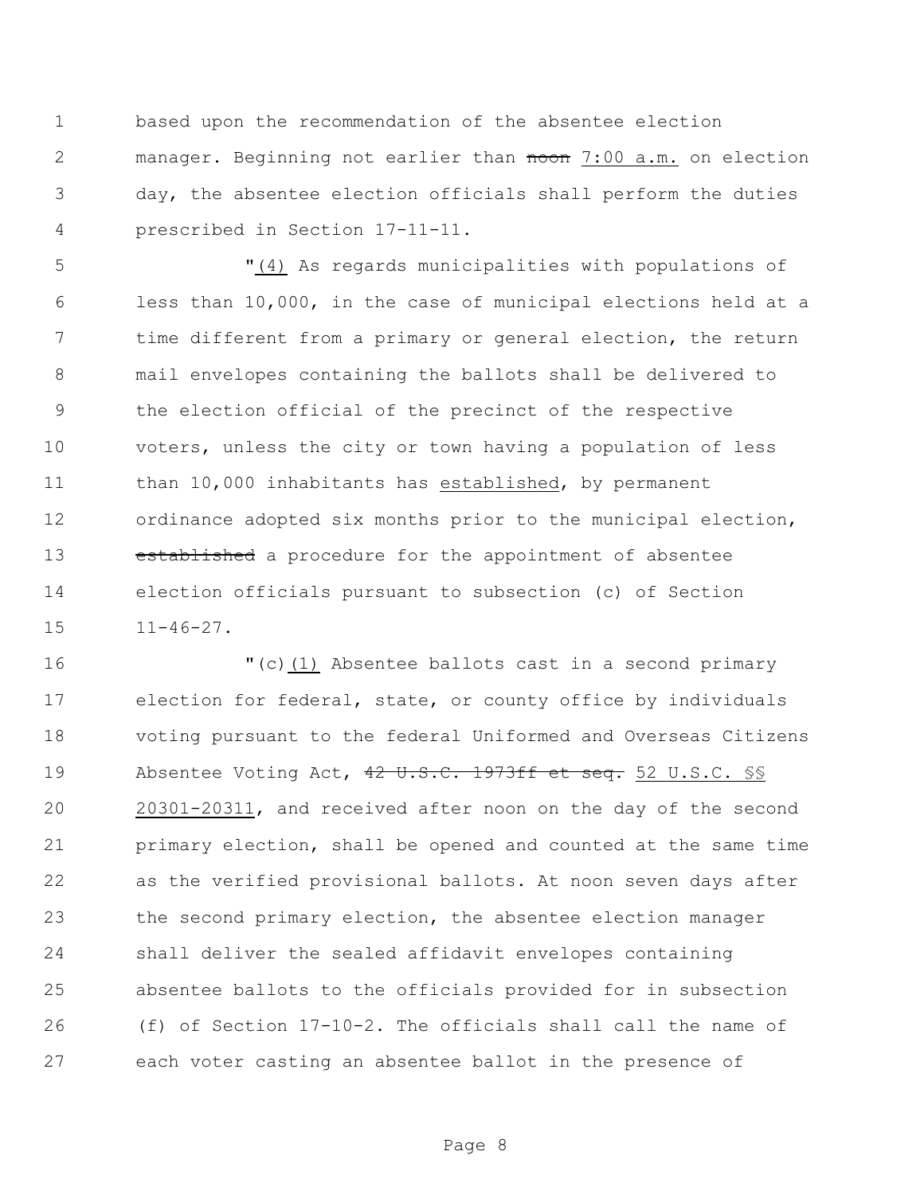based upon the recommendation of the absentee election 2 manager. Beginning not earlier than noon 7:00 a.m. on election day, the absentee election officials shall perform the duties prescribed in Section 17-11-11.

 "(4) As regards municipalities with populations of less than 10,000, in the case of municipal elections held at a time different from a primary or general election, the return mail envelopes containing the ballots shall be delivered to the election official of the precinct of the respective voters, unless the city or town having a population of less than 10,000 inhabitants has established, by permanent ordinance adopted six months prior to the municipal election, 13 established a procedure for the appointment of absentee election officials pursuant to subsection (c) of Section 11-46-27.

 "(c)(1) Absentee ballots cast in a second primary election for federal, state, or county office by individuals voting pursuant to the federal Uniformed and Overseas Citizens 19 Absentee Voting Act, 42 U.S.C. 1973ff et seq. 52 U.S.C. SS 20301-20311, and received after noon on the day of the second primary election, shall be opened and counted at the same time as the verified provisional ballots. At noon seven days after the second primary election, the absentee election manager shall deliver the sealed affidavit envelopes containing absentee ballots to the officials provided for in subsection (f) of Section 17-10-2. The officials shall call the name of each voter casting an absentee ballot in the presence of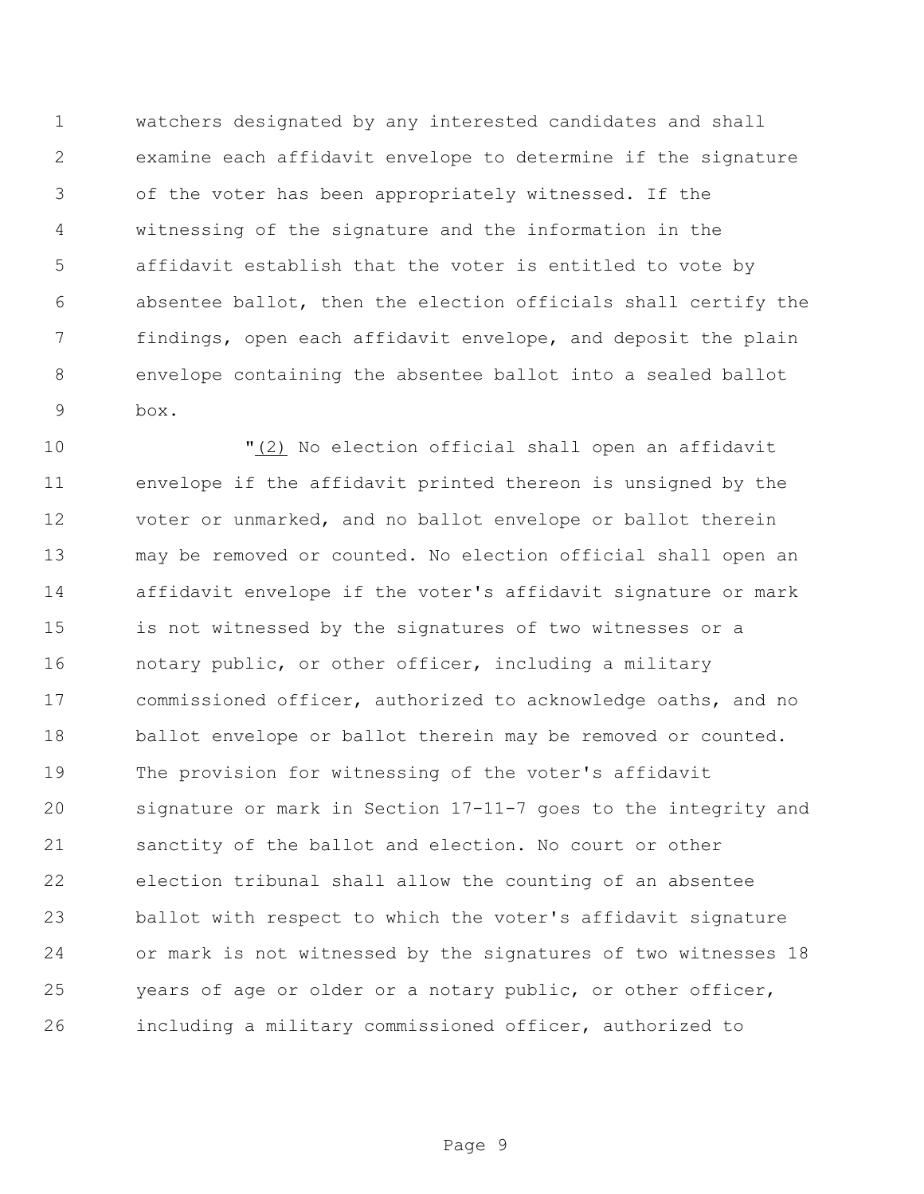watchers designated by any interested candidates and shall examine each affidavit envelope to determine if the signature of the voter has been appropriately witnessed. If the witnessing of the signature and the information in the affidavit establish that the voter is entitled to vote by absentee ballot, then the election officials shall certify the findings, open each affidavit envelope, and deposit the plain envelope containing the absentee ballot into a sealed ballot box.

 "(2) No election official shall open an affidavit envelope if the affidavit printed thereon is unsigned by the voter or unmarked, and no ballot envelope or ballot therein may be removed or counted. No election official shall open an affidavit envelope if the voter's affidavit signature or mark is not witnessed by the signatures of two witnesses or a notary public, or other officer, including a military commissioned officer, authorized to acknowledge oaths, and no 18 ballot envelope or ballot therein may be removed or counted. The provision for witnessing of the voter's affidavit signature or mark in Section 17-11-7 goes to the integrity and sanctity of the ballot and election. No court or other election tribunal shall allow the counting of an absentee ballot with respect to which the voter's affidavit signature or mark is not witnessed by the signatures of two witnesses 18 years of age or older or a notary public, or other officer, including a military commissioned officer, authorized to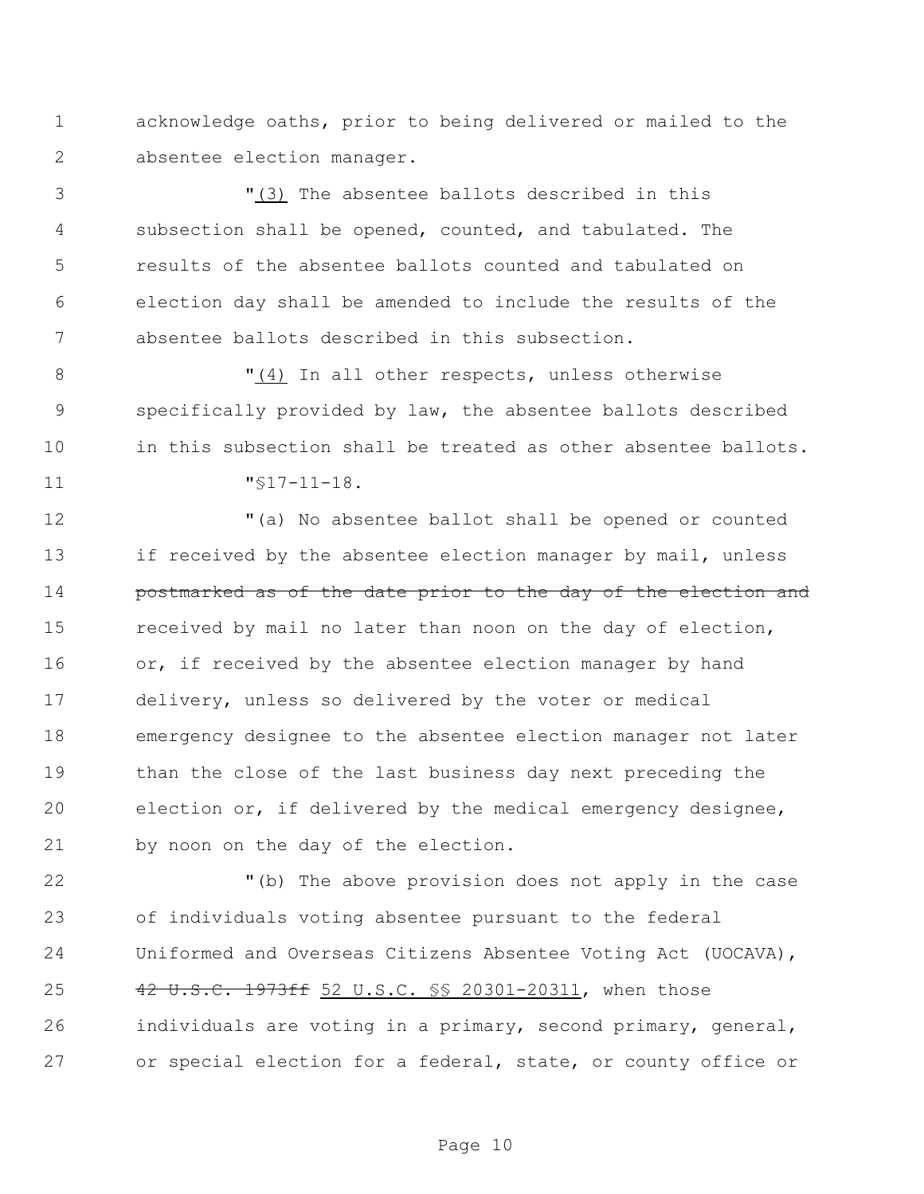acknowledge oaths, prior to being delivered or mailed to the absentee election manager.

 "(3) The absentee ballots described in this subsection shall be opened, counted, and tabulated. The results of the absentee ballots counted and tabulated on election day shall be amended to include the results of the absentee ballots described in this subsection.

8 T(4) In all other respects, unless otherwise specifically provided by law, the absentee ballots described in this subsection shall be treated as other absentee ballots. "§17-11-18.

 "(a) No absentee ballot shall be opened or counted 13 if received by the absentee election manager by mail, unless **postmarked as of the date prior to the day of the election and**  received by mail no later than noon on the day of election, 16 or, if received by the absentee election manager by hand delivery, unless so delivered by the voter or medical emergency designee to the absentee election manager not later than the close of the last business day next preceding the election or, if delivered by the medical emergency designee, by noon on the day of the election.

 "(b) The above provision does not apply in the case of individuals voting absentee pursuant to the federal Uniformed and Overseas Citizens Absentee Voting Act (UOCAVA), 25 42 U.S.C. 1973ff 52 U.S.C. §§ 20301-20311, when those individuals are voting in a primary, second primary, general, or special election for a federal, state, or county office or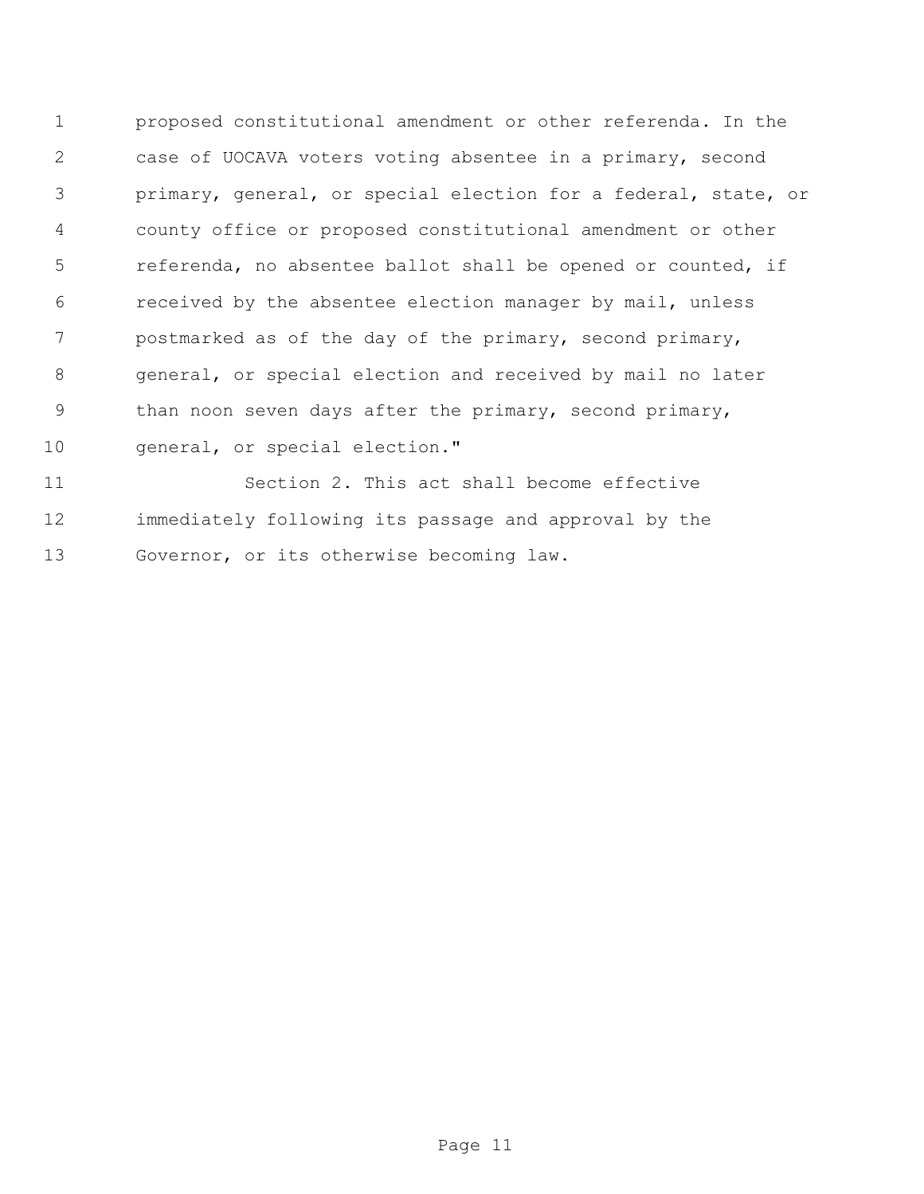proposed constitutional amendment or other referenda. In the case of UOCAVA voters voting absentee in a primary, second primary, general, or special election for a federal, state, or county office or proposed constitutional amendment or other referenda, no absentee ballot shall be opened or counted, if received by the absentee election manager by mail, unless postmarked as of the day of the primary, second primary, general, or special election and received by mail no later 9 than noon seven days after the primary, second primary, 10 general, or special election."

 Section 2. This act shall become effective immediately following its passage and approval by the Governor, or its otherwise becoming law.